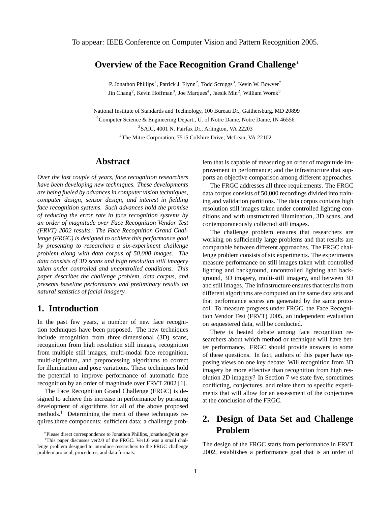## **Overview of the Face Recognition Grand Challenge**<sup>∗</sup>

P. Jonathon Phillips<sup>1</sup>, Patrick J. Flynn<sup>2</sup>, Todd Scruggs<sup>3</sup>, Kevin W. Bowyer<sup>2</sup> Jin Chang<sup>2</sup>, Kevin Hoffman<sup>3</sup>, Joe Marques<sup>4</sup>, Jaesik Min<sup>2</sup>, William Worek<sup>3</sup>

<sup>1</sup> National Institute of Standards and Technology, 100 Bureau Dr., Gaithersburg, MD 20899 <sup>2</sup>Computer Science & Engineering Depart., U. of Notre Dame, Notre Dame, IN 46556 3 SAIC, 4001 N. Fairfax Dr., Arlington, VA 22203 <sup>4</sup>The Mitre Corporation, 7515 Colshire Drive, McLean, VA 22102

#### **Abstract**

*Over the last couple of years, face recognition researchers have been developing new techniques. These developments are being fueled by advances in computer vision techniques, computer design, sensor design, and interest in fielding face recognition systems. Such advances hold the promise of reducing the error rate in face recognition systems by an order of magnitude over Face Recognition Vendor Test (FRVT) 2002 results. The Face Recognition Grand Challenge (FRGC) is designed to achieve this performance goal by presenting to researchers a six-experiment challenge problem along with data corpus of 50,000 images. The data consists of 3D scans and high resolution still imagery taken under controlled and uncontrolled conditions. This paper describes the challenge problem, data corpus, and presents baseline performance and preliminary results on natural statistics of facial imagery.*

### **1. Introduction**

In the past few years, a number of new face recognition techniques have been proposed. The new techniques include recognition from three-dimensional (3D) scans, recognition from high resolution still images, recognition from multiple still images, multi-modal face recognition, multi-algorithm, and preprocessing algorithms to correct for illumination and pose variations. These techniques hold the potential to improve performance of automatic face recognition by an order of magnitude over FRVT 2002 [1].

The Face Recognition Grand Challenge (FRGC) is designed to achieve this increase in performance by pursuing development of algorithms for all of the above proposed methods.<sup>1</sup> Determining the merit of these techniques requires three components: sufficient data; a challenge problem that is capable of measuring an order of magnitude improvement in performance; and the infrastructure that supports an objective comparison among different approaches.

The FRGC addresses all three requirements. The FRGC data corpus consists of 50,000 recordings divided into training and validation partitions. The data corpus contains high resolution still images taken under controlled lighting conditions and with unstructured illumination, 3D scans, and contemporaneously collected still images.

The challenge problem ensures that researchers are working on sufficiently large problems and that results are comparable between different approaches. The FRGC challenge problem consists of six experiments. The experiments measure performance on still images taken with controlled lighting and background, uncontrolled lighting and background, 3D imagery, multi-still imagery, and between 3D and still images. The infrastructure ensures that results from different algorithms are computed on the same data sets and that performance scores are generated by the same protocol. To measure progress under FRGC, the Face Recognition Vendor Test (FRVT) 2005, an independent evaluation on sequestered data, will be conducted.

There is heated debate among face recognition researchers about which method or technique will have better performance. FRGC should provide answers to some of these questions. In fact, authors of this paper have opposing views on one key debate: Will recognition from 3D imagery be more effective than recognition from high resolution 2D imagery? In Section 7 we state five, sometimes conflicting, conjectures, and relate them to specific experiments that will allow for an assessment of the conjectures at the conclusion of the FRGC.

# **2. Design of Data Set and Challenge Problem**

The design of the FRGC starts from performance in FRVT 2002, establishes a performance goal that is an order of

<sup>∗</sup>Please direct correspondence to Jonathon Phillips, jonathon@nist.gov <sup>1</sup>This paper discusses ver2.0 of the FRGC. Ver1.0 was a small challenge problem designed to introduce researchers to the FRGC challenge problem protocol, procedures, and data formats.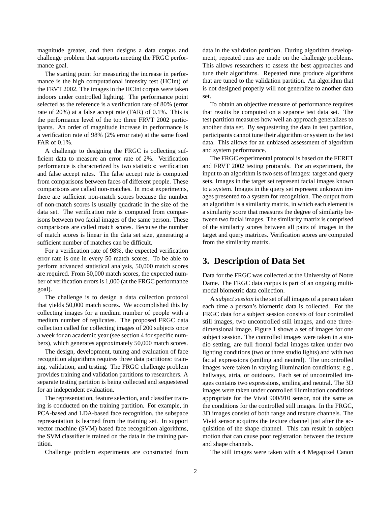magnitude greater, and then designs a data corpus and challenge problem that supports meeting the FRGC performance goal.

The starting point for measuring the increase in performance is the high computational intensity test (HCInt) of the FRVT 2002. The images in the HCInt corpus were taken indoors under controlled lighting. The performance point selected as the reference is a verification rate of 80% (error rate of 20%) at a false accept rate (FAR) of 0.1%. This is the performance level of the top three FRVT 2002 participants. An order of magnitude increase in performance is a verification rate of 98% (2% error rate) at the same fixed FAR of 0.1%.

A challenge to designing the FRGC is collecting sufficient data to measure an error rate of 2%. Verification performance is characterized by two statistics: verification and false accept rates. The false accept rate is computed from comparisons between faces of different people. These comparisons are called non-matches. In most experiments, there are sufficient non-match scores because the number of non-match scores is usually quadratic in the size of the data set. The verification rate is computed from comparisons between two facial images of the same person. These comparisons are called match scores. Because the number of match scores is linear in the data set size, generating a sufficient number of matches can be difficult.

For a verification rate of 98%, the expected verification error rate is one in every 50 match scores. To be able to perform advanced statistical analysis, 50,000 match scores are required. From 50,000 match scores, the expected number of verification errors is 1,000 (at the FRGC performance goal).

The challenge is to design a data collection protocol that yields 50,000 match scores. We accomplished this by collecting images for a medium number of people with a medium number of replicates. The proposed FRGC data collection called for collecting images of 200 subjects once a week for an academic year (see section 4 for specific numbers), which generates approximately 50,000 match scores.

The design, development, tuning and evaluation of face recognition algorithms requires three data partitions: training, validation, and testing. The FRGC challenge problem provides training and validation partitions to researchers. A separate testing partition is being collected and sequestered for an independent evaluation.

The representation, feature selection, and classifier training is conducted on the training partition. For example, in PCA-based and LDA-based face recognition, the subspace representation is learned from the training set. In support vector machine (SVM) based face recognition algorithms, the SVM classifier is trained on the data in the training partition.

Challenge problem experiments are constructed from

data in the validation partition. During algorithm development, repeated runs are made on the challenge problems. This allows researchers to assess the best approaches and tune their algorithms. Repeated runs produce algorithms that are tuned to the validation partition. An algorithm that is not designed properly will not generalize to another data set.

To obtain an objective measure of performance requires that results be computed on a separate test data set. The test partition measures how well an approach generalizes to another data set. By sequestering the data in test partition, participants cannot tune their algorithm or system to the test data. This allows for an unbiased assessment of algorithm and system performance.

The FRGC experimental protocol is based on the FERET and FRVT 2002 testing protocols. For an experiment, the input to an algorithm is two sets of images: target and query sets. Images in the target set represent facial images known to a system. Images in the query set represent unknown images presented to a system for recognition. The output from an algorithm is a similarity matrix, in which each element is a similarity score that measures the degree of similarity between two facial images. The similarity matrix is comprised of the similarity scores between all pairs of images in the target and query matrices. Verification scores are computed from the similarity matrix.

# **3. Description of Data Set**

Data for the FRGC was collected at the University of Notre Dame. The FRGC data corpus is part of an ongoing multimodal biometric data collection.

A *subject session* is the set of all images of a person taken each time a person's biometric data is collected. For the FRGC data for a subject session consists of four controlled still images, two uncontrolled still images, and one threedimensional image. Figure 1 shows a set of images for one subject session. The controlled images were taken in a studio setting, are full frontal facial images taken under two lighting conditions (two or three studio lights) and with two facial expressions (smiling and neutral). The uncontrolled images were taken in varying illumination conditions; e.g., hallways, atria, or outdoors. Each set of uncontrolled images contains two expressions, smiling and neutral. The 3D images were taken under controlled illumination conditions appropriate for the Vivid 900/910 sensor, not the same as the conditions for the controlled still images. In the FRGC, 3D images consist of both range and texture channels. The Vivid sensor acquires the texture channel just after the acquisition of the shape channel. This can result in subject motion that can cause poor registration between the texture and shape channels.

The still images were taken with a 4 Megapixel Canon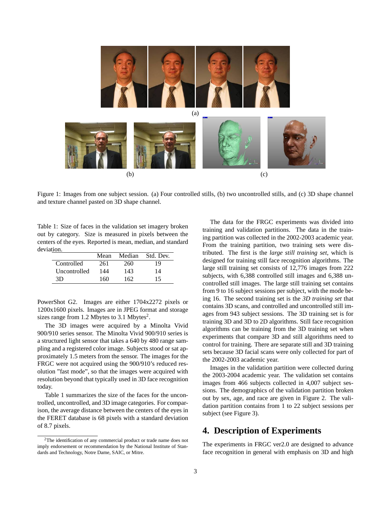

Figure 1: Images from one subject session. (a) Four controlled stills, (b) two uncontrolled stills, and (c) 3D shape channel and texture channel pasted on 3D shape channel.

Table 1: Size of faces in the validation set imagery broken out by category. Size is measured in pixels between the centers of the eyes. Reported is mean, median, and standard deviation.

|              | Mean | Median | Std. Dev. |
|--------------|------|--------|-----------|
| Controlled   | 261  | 260    | 19        |
| Uncontrolled | 144  | 143    | 14        |
| 3D           | 160  | 162    | 15        |

PowerShot G2. Images are either 1704x2272 pixels or 1200x1600 pixels. Images are in JPEG format and storage sizes range from 1.2 Mbytes to 3.1 Mbytes<sup>2</sup>.

The 3D images were acquired by a Minolta Vivid 900/910 series sensor. The Minolta Vivid 900/910 series is a structured light sensor that takes a 640 by 480 range sampling and a registered color image. Subjects stood or sat approximately 1.5 meters from the sensor. The images for the FRGC were not acquired using the 900/910's reduced resolution "fast mode", so that the images were acquired with resolution beyond that typically used in 3D face recognition today.

Table 1 summarizes the size of the faces for the uncontrolled, uncontrolled, and 3D image categories. For comparison, the average distance between the centers of the eyes in the FERET database is 68 pixels with a standard deviation of 8.7 pixels.

The data for the FRGC experiments was divided into training and validation partitions. The data in the training partition was collected in the 2002-2003 academic year. From the training partition, two training sets were distributed. The first is the *large still training set*, which is designed for training still face recognition algorithms. The large still training set consists of 12,776 images from 222 subjects, with 6,388 controlled still images and 6,388 uncontrolled still images. The large still training set contains from 9 to 16 subject sessions per subject, with the mode being 16. The second training set is the *3D training set* that contains 3D scans, and controlled and uncontrolled still images from 943 subject sessions. The 3D training set is for training 3D and 3D to 2D algorithms. Still face recognition algorithms can be training from the 3D training set when experiments that compare 3D and still algorithms need to control for training. There are separate still and 3D training sets because 3D facial scans were only collected for part of the 2002-2003 academic year.

Images in the validation partition were collected during the 2003-2004 academic year. The validation set contains images from 466 subjects collected in 4,007 subject sessions. The demographics of the validation partition broken out by sex, age, and race are given in Figure 2. The validation partition contains from 1 to 22 subject sessions per subject (see Figure 3).

## **4. Description of Experiments**

The experiments in FRGC ver2.0 are designed to advance face recognition in general with emphasis on 3D and high

<sup>&</sup>lt;sup>2</sup>The identification of any commercial product or trade name does not imply endorsement or recommendation by the National Institute of Standards and Technology, Notre Dame, SAIC, or Mitre.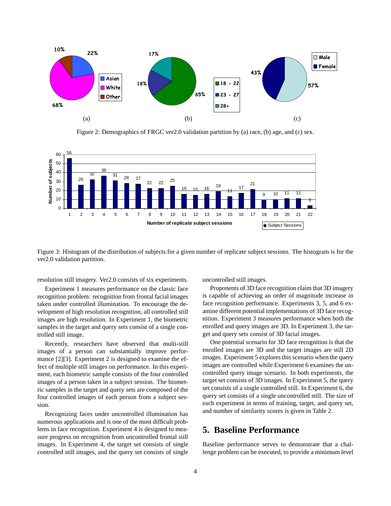

Figure 2: Demographics of FRGC ver2.0 validation partition by (a) race, (b) age, and (c) sex.



Figure 3: Histogram of the distribution of subjects for a given number of replicate subject sessions. The histogram is for the ver2.0 validation partition.

resolution still imagery. Ver2.0 consists of six experiments.

Experiment 1 measures performance on the classic face recognition problem: recognition from frontal facial images taken under controlled illumination. To encourage the development of high resolution recognition, all controlled still images are high resolution. In Experiment 1, the biometric samples in the target and query sets consist of a single controlled still image.

Recently, researchers have observed that multi-still images of a person can substantially improve performance [2][3]. Experiment 2 is designed to examine the effect of multiple still images on performance. In this experiment, each biometric sample consists of the four controlled images of a person taken in a subject session. The biometric samples in the target and query sets are composed of the four controlled images of each person from a subject session.

Recognizing faces under uncontrolled illumination has numerous applications and is one of the most difficult problems in face recognition. Experiment 4 is designed to measure progress on recognition from uncontrolled frontal still images. In Experiment 4, the target set consists of single controlled still images, and the query set consists of single uncontrolled still images.

Proponents of 3D face recognition claim that 3D imagery is capable of achieving an order of magnitude increase in face recognition performance. Experiments 3, 5, and 6 examine different potential implementations of 3D face recognition. Experiment 3 measures performance when both the enrolled and query images are 3D. In Experiment 3, the target and query sets consist of 3D facial images.

One potential scenario for 3D face recognition is that the enrolled images are 3D and the target images are still 2D images. Experiment 5 explores this scenario when the query images are controlled while Experiment 6 examines the uncontrolled query image scenario. In both experiments, the target set consists of 3D images. In Experiment 5, the query set consists of a single controlled still. In Experiment 6, the query set consists of a single uncontrolled still. The size of each experiment in terms of training, target, and query set, and number of similarity scores is given in Table 2.

#### **5. Baseline Performance**

Baseline performance serves to demonstrate that a challenge problem can be executed, to provide a minimum level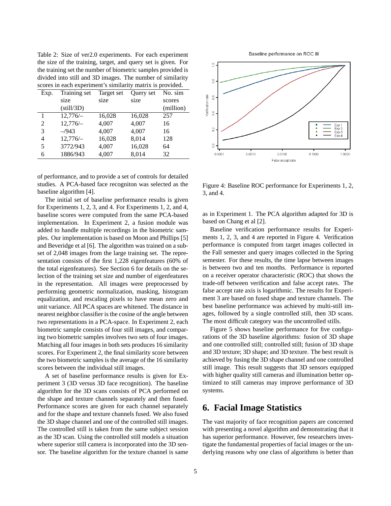Table 2: Size of ver2.0 experiments. For each experiment the size of the training, target, and query set is given. For the training set the number of biometric samples provided is divided into still and 3D images. The number of similarity scores in each experiment's similarity matrix is provided.

| Exp. | Training set | Target set | Ouery set | No. sim   |
|------|--------------|------------|-----------|-----------|
|      | size         | size       | size      | scores    |
|      | (still/3D)   |            |           | (million) |
| 1    | $12,776/-$   | 16,028     | 16,028    | 257       |
| 2    | $12,776/-$   | 4,007      | 4,007     | 16        |
| 3    | $-$ /943     | 4,007      | 4,007     | 16        |
| 4    | $12,776/-$   | 16,028     | 8,014     | 128       |
| 5    | 3772/943     | 4,007      | 16,028    | 64        |
| 6    | 1886/943     | 4,007      | 8,014     | 32        |

of performance, and to provide a set of controls for detailed studies. A PCA-based face recogniton was selected as the baseline algorithm [4].

The initial set of baseline performance results is given for Experiments 1, 2, 3, and 4. For Experiments 1, 2, and 4, baseline scores were computed from the same PCA-based implementation. In Experiment 2, a fusion module was added to handle multiple recordings in the biometric samples. Our implementation is based on Moon and Phillips [5] and Beveridge et al [6]. The algorithm was trained on a subset of 2,048 images from the large training set. The representation consists of the first 1,228 eigenfeatures (60% of the total eigenfeatures). See Section 6 for details on the selection of the training set size and number of eigenfeatures in the representation. All images were preprocessed by performing geometric normalization, masking, histogram equalization, and rescaling pixels to have mean zero and unit variance. All PCA spaces are whitened. The distance in nearest neighbor classifier is the cosine of the angle between two representations in a PCA-space. In Experiment 2, each biometric sample consists of four still images, and comparing two biometric samples involves two sets of four images. Matching all four images in both sets produces 16 similarity scores. For Experiment 2, the final similarity score between the two biometric samples is the average of the 16 similarity scores between the individual still images.

A set of baseline performance results is given for Experiment 3 (3D versus 3D face recognition). The baseline algorithm for the 3D scans consists of PCA performed on the shape and texture channels separately and then fused. Performance scores are given for each channel separately and for the shape and texture channels fused. We also fused the 3D shape channel and one of the controlled still images. The controlled still is taken from the same subject session as the 3D scan. Using the controlled still models a situation where superior still camera is incorporated into the 3D sensor. The baseline algorithm for the texture channel is same

Baseline performance on ROC III



Figure 4: Baseline ROC performance for Experiments 1, 2, 3, and 4.

as in Experiment 1. The PCA algorithm adapted for 3D is based on Chang et al [2].

Baseline verification performance results for Experiments 1, 2, 3, and 4 are reported in Figure 4. Verification performance is computed from target images collected in the Fall semester and query images collected in the Spring semester. For these results, the time lapse between images is between two and ten months. Performance is reported on a receiver operator characteristic (ROC) that shows the trade-off between verification and false accept rates. The false accept rate axis is logarithmic. The results for Experiment 3 are based on fused shape and texture channels. The best baseline performance was achieved by multi-still images, followed by a single controlled still, then 3D scans. The most difficult category was the uncontrolled stills.

Figure 5 shows baseline performance for five configurations of the 3D baseline algorithms: fusion of 3D shape and one controlled still; controlled still; fusion of 3D shape and 3D texture; 3D shape; and 3D texture. The best result is achieved by fusing the 3D shape channel and one controlled still image. This result suggests that 3D sensors equipped with higher quality still cameras and illumination better optimized to still cameras may improve performance of 3D systems.

#### **6. Facial Image Statistics**

The vast majority of face recognition papers are concerned with presenting a novel algorithm and demonstrating that it has superior performance. However, few researchers investigate the fundamental properties of facial images or the underlying reasons why one class of algorithms is better than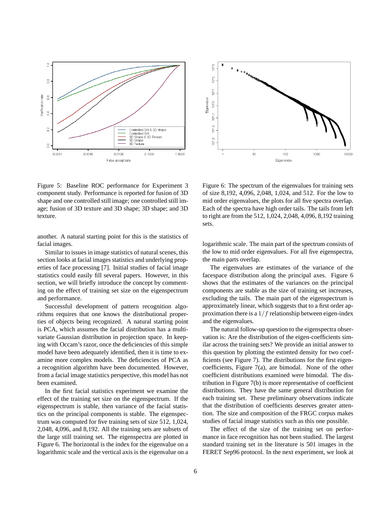



Figure 5: Baseline ROC performance for Experiment 3 component study. Performance is reported for fusion of 3D shape and one controlled still image; one controlled still image; fusion of 3D texture and 3D shape; 3D shape; and 3D texture.

another. A natural starting point for this is the statistics of facial images.

Similar to issues in image statistics of natural scenes, this section looks at facial images statistics and underlying properties of face processing [7]. Initial studies of facial image statistics could easily fill several papers. However, in this section, we will briefly introduce the concept by commenting on the effect of training set size on the eigenspectrum and performance.

Successful development of pattern recognition algorithms requires that one knows the distributional properties of objects being recognized. A natural starting point is PCA, which assumes the facial distribution has a multivariate Gaussian distribution in projection space. In keeping with Occam's razor, once the deficiencies of this simple model have been adequately identified, then it is time to examine more complex models. The deficiencies of PCA as a recognition algorithm have been documented. However, from a facial image statistics perspective, this model has not been examined.

In the first facial statistics experiment we examine the effect of the training set size on the eigenspectrum. If the eigenspectrum is stable, then variance of the facial statistics on the principal components is stable. The eigenspectrum was computed for five training sets of size 512, 1,024, 2,048, 4,096, and 8,192. All the training sets are subsets of the large still training set. The eigenspectra are plotted in Figure 6. The horizontal is the index for the eigenvalue on a logarithmic scale and the vertical axis is the eigenvalue on a

Figure 6: The spectrum of the eigenvalues for training sets of size 8,192, 4,096, 2,048, 1,024, and 512. For the low to mid order eigenvalues, the plots for all five spectra overlap. Each of the spectra have high order tails. The tails from left to right are from the 512, 1,024, 2,048, 4,096, 8,192 training sets.

logarithmic scale. The main part of the spectrum consists of the low to mid order eigenvalues. For all five eigenspectra, the main parts overlap.

The eigenvalues are estimates of the variance of the facespace distribution along the principal axes. Figure 6 shows that the estimates of the variances on the principal components are stable as the size of training set increases, excluding the tails. The main part of the eigenspectrum is approximately linear, which suggests that to a first order approximation there is a  $1/f$  relationship between eigen-index and the eigenvalues.

The natural follow-up question to the eigenspectra observation is: Are the distribution of the eigen-coefficients similar across the training sets? We provide an initial answer to this question by plotting the estimted density for two coefficients (see Figure 7). The distributions for the first eigencoefficients, Figure 7(a), are bimodal. None of the other coefficient distributions examined were bimodal. The distribution in Figure 7(b) is more representative of coefficient distributions. They have the same general distribution for each training set. These preliminary observations indicate that the distribution of coefficients deserves greater attention. The size and composition of the FRGC corpus makes studies of facial image statistics such as this one possible.

The effect of the size of the training set on performance in face recognition has not been studied. The largest standard training set in the literature is 501 images in the FERET Sep96 protocol. In the next experiment, we look at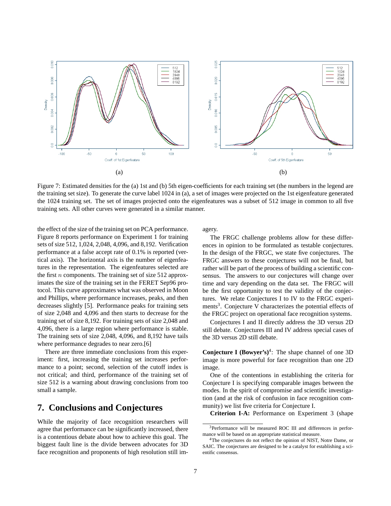

Figure 7: Estimated densities for the (a) 1st and (b) 5th eigen-coefficients for each training set (the numbers in the legend are the training set size). To generate the curve label 1024 in (a), a set of images were projected on the 1st eigenfeature generated the 1024 training set. The set of images projected onto the eigenfeatures was a subset of 512 image in common to all five training sets. All other curves were generated in a similar manner.

the effect of the size of the training set on PCA performance. Figure 8 reports performance on Experiment 1 for training sets of size 512, 1,024, 2,048, 4,096, and 8,192. Verification performance at a false accept rate of 0.1% is reported (vertical axis). The horizontal axis is the number of eigenfeatures in the representation. The eigenfeatures selected are the first  $n$  components. The training set of size 512 approximates the size of the training set in the FERET Sep96 protocol. This curve approximates what was observed in Moon and Phillips, where performance increases, peaks, and then decreases slightly [5]. Performance peaks for training sets of size 2,048 and 4,096 and then starts to decrease for the training set of size 8,192. For training sets of size 2,048 and 4,096, there is a large region where performance is stable. The training sets of size 2,048, 4,096, and 8,192 have tails where performance degrades to near zero.[6]

There are three immediate conclusions from this experiment: first, increasing the training set increases performance to a point; second, selection of the cutoff index is not critical; and third, performance of the training set of size 512 is a warning about drawing conclusions from too small a sample.

#### **7. Conclusions and Conjectures**

While the majority of face recognition researchers will agree that performance can be significantly increased, there is a contentious debate about how to achieve this goal. The biggest fault line is the divide between advocates for 3D face recognition and proponents of high resolution still imagery.

The FRGC challenge problems allow for these differences in opinion to be formulated as testable conjectures. In the design of the FRGC, we state five conjectures. The FRGC answers to these conjectures will not be final, but rather will be part of the process of building a scientific consensus. The answers to our conjectures will change over time and vary depending on the data set. The FRGC will be the first opportunity to test the validity of the conjectures. We relate Conjectures I to IV to the FRGC experiments<sup>3</sup>. Conjecture V characterizes the potential effects of the FRGC project on operational face recognition systems.

Conjectures I and II directly address the 3D versus 2D still debate. Conjectures III and IV address special cases of the 3D versus 2D still debate.

**Conjecture I (Bowyer's)**<sup>4</sup> : The shape channel of one 3D image is more powerful for face recognition than one 2D image.

One of the contentions in establishing the criteria for Conjecture I is specifying comparable images between the modes. In the spirit of compromise and scientific investigation (and at the risk of confusion in face recognition community) we list five criteria for Conjecture I.

**Criterion I-A:** Performance on Experiment 3 (shape

<sup>3</sup>Performance will be measured ROC III and differences in performance will be based on an appropriate statistical measure.

<sup>&</sup>lt;sup>4</sup>The conjectures do not reflect the opinion of NIST, Notre Dame, or SAIC. The conjectures are designed to be a catalyst for establishing a scientific consensus.